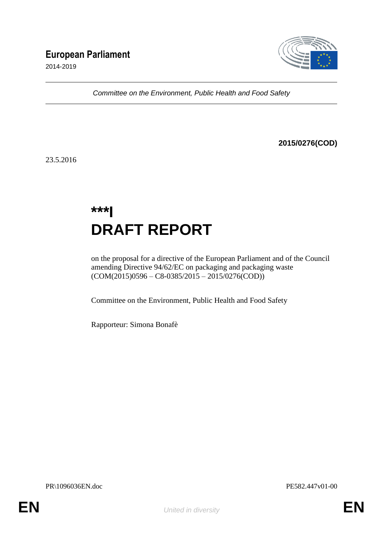# **European Parliament**

2014-2019



*Committee on the Environment, Public Health and Food Safety*

**2015/0276(COD)**

23.5.2016

# **\*\*\*I DRAFT REPORT**

on the proposal for a directive of the European Parliament and of the Council amending Directive 94/62/EC on packaging and packaging waste  $(COM(2015)0596 - C8 - 0385/2015 - 2015/0276(COD))$ 

Committee on the Environment, Public Health and Food Safety

Rapporteur: Simona Bonafè

PR\1096036EN.doc PE582.447v01-00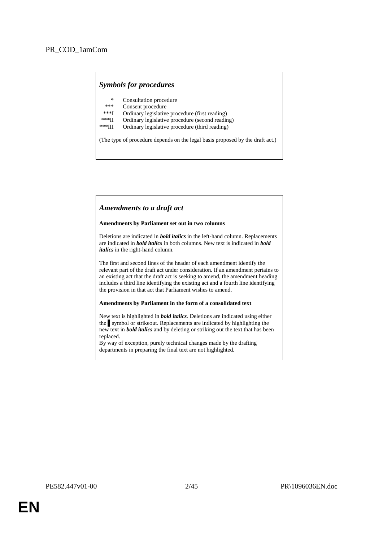# *Symbols for procedures*

- Consultation procedure
- \*\*\* Consent procedure
- \*\*\*I Ordinary legislative procedure (first reading)
- \*\*\*II Ordinary legislative procedure (second reading)
- Ordinary legislative procedure (third reading)

(The type of procedure depends on the legal basis proposed by the draft act.)

### *Amendments to a draft act*

#### **Amendments by Parliament set out in two columns**

Deletions are indicated in *bold italics* in the left-hand column. Replacements are indicated in *bold italics* in both columns. New text is indicated in *bold italics* in the right-hand column.

The first and second lines of the header of each amendment identify the relevant part of the draft act under consideration. If an amendment pertains to an existing act that the draft act is seeking to amend, the amendment heading includes a third line identifying the existing act and a fourth line identifying the provision in that act that Parliament wishes to amend.

#### **Amendments by Parliament in the form of a consolidated text**

New text is highlighted in *bold italics*. Deletions are indicated using either the ▌symbol or strikeout. Replacements are indicated by highlighting the new text in *bold italics* and by deleting or striking out the text that has been replaced.

By way of exception, purely technical changes made by the drafting departments in preparing the final text are not highlighted.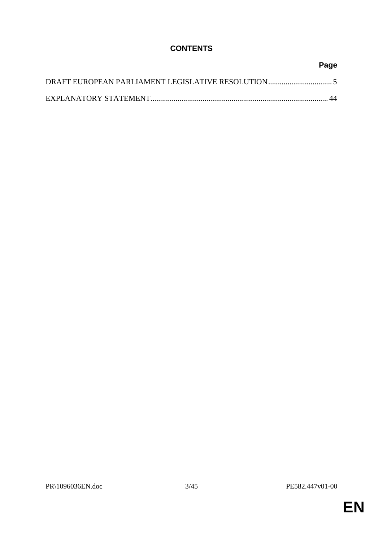# **CONTENTS**

# **Page** DRAFT EUROPEAN PARLIAMENT LEGISLATIVE RESOLUTION................................. 5 EXPLANATORY STATEMENT............................................................................................ 44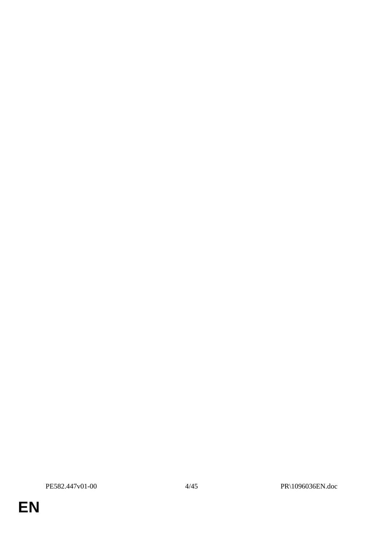PE582.447v01 -00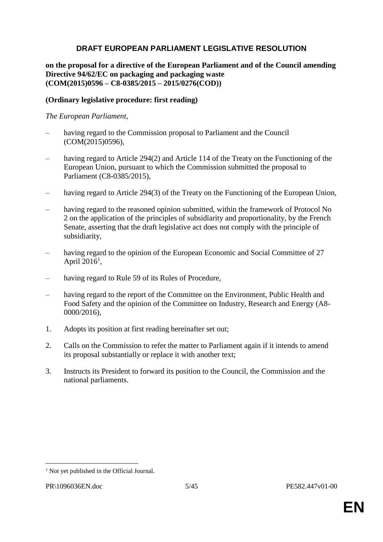# **DRAFT EUROPEAN PARLIAMENT LEGISLATIVE RESOLUTION**

# **on the proposal for a directive of the European Parliament and of the Council amending Directive 94/62/EC on packaging and packaging waste (COM(2015)0596 – C8-0385/2015 – 2015/0276(COD))**

# **(Ordinary legislative procedure: first reading)**

# *The European Parliament*,

- having regard to the Commission proposal to Parliament and the Council (COM(2015)0596),
- having regard to Article 294(2) and Article 114 of the Treaty on the Functioning of the European Union, pursuant to which the Commission submitted the proposal to Parliament (C8-0385/2015),
- having regard to Article 294(3) of the Treaty on the Functioning of the European Union,
- having regard to the reasoned opinion submitted, within the framework of Protocol No 2 on the application of the principles of subsidiarity and proportionality, by the French Senate, asserting that the draft legislative act does not comply with the principle of subsidiarity,
- having regard to the opinion of the European Economic and Social Committee of 27 April  $2016<sup>1</sup>$ ,
- having regard to Rule 59 of its Rules of Procedure,
- having regard to the report of the Committee on the Environment, Public Health and Food Safety and the opinion of the Committee on Industry, Research and Energy (A8- 0000/2016),
- 1. Adopts its position at first reading hereinafter set out;
- 2. Calls on the Commission to refer the matter to Parliament again if it intends to amend its proposal substantially or replace it with another text;
- 3. Instructs its President to forward its position to the Council, the Commission and the national parliaments.

 $\overline{a}$ 

<sup>&</sup>lt;sup>1</sup> Not yet published in the Official Journal.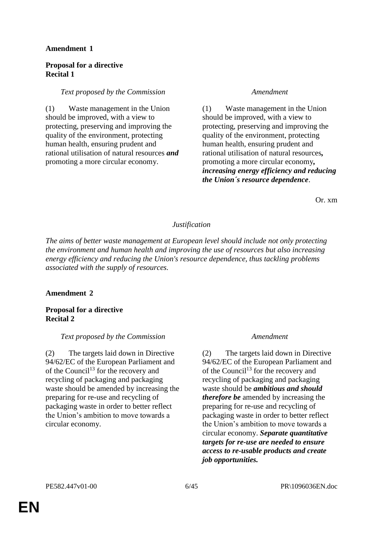# **Proposal for a directive Recital 1**

# *Text proposed by the Commission Amendment*

(1) Waste management in the Union should be improved, with a view to protecting, preserving and improving the quality of the environment, protecting human health, ensuring prudent and rational utilisation of natural resources *and* promoting a more circular economy.

(1) Waste management in the Union should be improved, with a view to protecting, preserving and improving the quality of the environment, protecting human health, ensuring prudent and rational utilisation of natural resources*,* promoting a more circular economy*, increasing energy efficiency and reducing the Union´s resource dependence*.

Or. xm

# *Justification*

*The aims of better waste management at European level should include not only protecting the environment and human health and improving the use of resources but also increasing energy efficiency and reducing the Union's resource dependence, thus tackling problems associated with the supply of resources.*

# **Amendment 2**

**Proposal for a directive Recital 2**

# *Text proposed by the Commission Amendment*

(2) The targets laid down in Directive 94/62/EC of the European Parliament and of the Council<sup>13</sup> for the recovery and recycling of packaging and packaging waste should be amended by increasing the preparing for re-use and recycling of packaging waste in order to better reflect the Union's ambition to move towards a circular economy.

(2) The targets laid down in Directive 94/62/EC of the European Parliament and of the Council<sup>13</sup> for the recovery and recycling of packaging and packaging waste should be *ambitious and should therefore be* amended by increasing the preparing for re-use and recycling of packaging waste in order to better reflect the Union's ambition to move towards a circular economy. *Separate quantitative targets for re-use are needed to ensure access to re-usable products and create job opportunities.*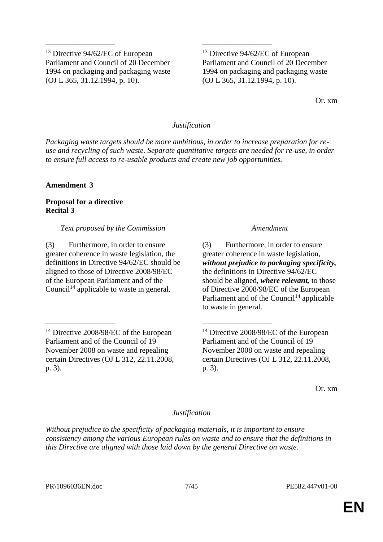<sup>13</sup> Directive 94/62/EC of European Parliament and Council of 20 December 1994 on packaging and packaging waste (OJ L 365, 31.12.1994, p. 10).

<sup>13</sup> Directive 94/62/EC of European Parliament and Council of 20 December 1994 on packaging and packaging waste (OJ L 365, 31.12.1994, p. 10).

Or. xm

# *Justification*

\_\_\_\_\_\_\_\_\_\_\_\_\_\_\_\_\_\_ \_\_\_\_\_\_\_\_\_\_\_\_\_\_\_\_\_\_

*Packaging waste targets should be more ambitious, in order to increase preparation for reuse and recycling of such waste. Separate quantitative targets are needed for re-use, in order to ensure full access to re-usable products and create new job opportunities.*

# **Amendment 3**

# **Proposal for a directive Recital 3**

# *Text proposed by the Commission Amendment*

(3) Furthermore, in order to ensure greater coherence in waste legislation, the definitions in Directive 94/62/EC should be aligned to those of Directive 2008/98/EC of the European Parliament and of the Council<sup>14</sup> applicable to waste in general.

(3) Furthermore, in order to ensure greater coherence in waste legislation, *without prejudice to packaging specificity,* the definitions in Directive 94/62/EC should be aligned*, where relevant,* to those of Directive 2008/98/EC of the European Parliament and of the Council<sup>14</sup> applicable to waste in general.

Or. xm

# *Justification*

\_\_\_\_\_\_\_\_\_\_\_\_\_\_\_\_\_\_ \_\_\_\_\_\_\_\_\_\_\_\_\_\_\_\_\_\_

*Without prejudice to the specificity of packaging materials, it is important to ensure consistency among the various European rules on waste and to ensure that the definitions in this Directive are aligned with those laid down by the general Directive on waste.*

<sup>&</sup>lt;sup>14</sup> Directive 2008/98/EC of the European Parliament and of the Council of 19 November 2008 on waste and repealing certain Directives (OJ L 312, 22.11.2008, p. 3).

<sup>&</sup>lt;sup>14</sup> Directive 2008/98/EC of the European Parliament and of the Council of 19 November 2008 on waste and repealing certain Directives (OJ L 312, 22.11.2008, p. 3).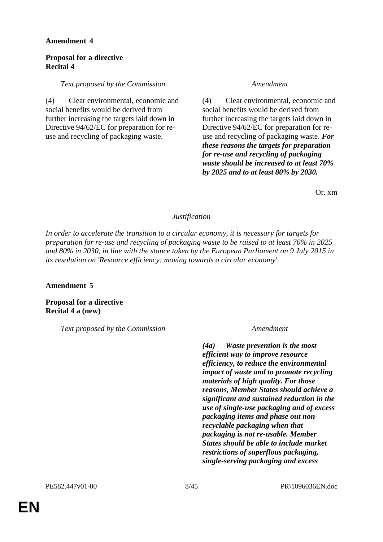# **Proposal for a directive Recital 4**

# *Text proposed by the Commission Amendment*

(4) Clear environmental, economic and social benefits would be derived from further increasing the targets laid down in Directive 94/62/EC for preparation for reuse and recycling of packaging waste.

(4) Clear environmental, economic and social benefits would be derived from further increasing the targets laid down in Directive 94/62/EC for preparation for reuse and recycling of packaging waste. *For these reasons the targets for preparation for re-use and recycling of packaging waste should be increased to at least 70% by 2025 and to at least 80% by 2030.*

Or. xm

# *Justification*

*In order to accelerate the transition to a circular economy, it is necessary for targets for preparation for re-use and recycling of packaging waste to be raised to at least 70% in 2025 and 80% in 2030, in line with the stance taken by the European Parliament on 9 July 2015 in its resolution on 'Resource efficiency: moving towards a circular economy'.*

# **Amendment 5**

**Proposal for a directive Recital 4 a (new)**

*Text proposed by the Commission Amendment*

*(4a) Waste prevention is the most efficient way to improve resource efficiency, to reduce the environmental impact of waste and to promote recycling materials of high quality. For those reasons, Member States should achieve a significant and sustained reduction in the use of single-use packaging and of excess packaging items and phase out nonrecyclable packaging when that packaging is not re-usable. Member States should be able to include market restrictions of superflous packaging, single-serving packaging and excess*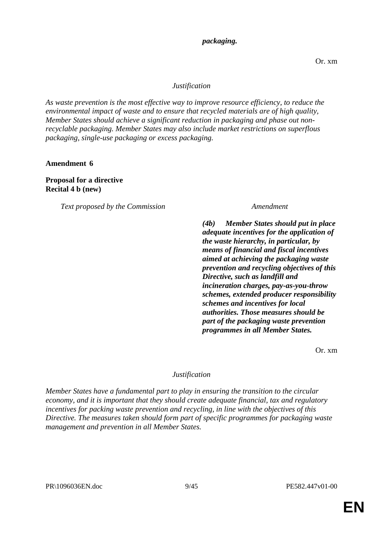# *packaging.*

# *Justification*

*As waste prevention is the most effective way to improve resource efficiency, to reduce the environmental impact of waste and to ensure that recycled materials are of high quality, Member States should achieve a significant reduction in packaging and phase out nonrecyclable packaging. Member States may also include market restrictions on superflous packaging, single-use packaging or excess packaging.*

**Amendment 6**

**Proposal for a directive Recital 4 b (new)**

*Text proposed by the Commission Amendment*

*(4b) Member States should put in place adequate incentives for the application of the waste hierarchy, in particular, by means of financial and fiscal incentives aimed at achieving the packaging waste prevention and recycling objectives of this Directive, such as landfill and incineration charges, pay-as-you-throw schemes, extended producer responsibility schemes and incentives for local authorities. Those measures should be part of the packaging waste prevention programmes in all Member States.*

Or. xm

#### *Justification*

*Member States have a fundamental part to play in ensuring the transition to the circular economy, and it is important that they should create adequate financial, tax and regulatory incentives for packing waste prevention and recycling, in line with the objectives of this Directive. The measures taken should form part of specific programmes for packaging waste management and prevention in all Member States.*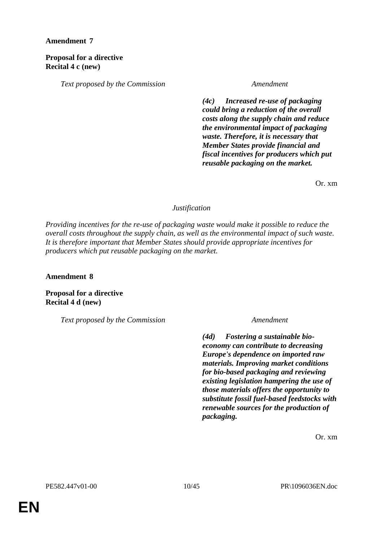# **Proposal for a directive Recital 4 c (new)**

*Text proposed by the Commission Amendment*

*(4c) Increased re-use of packaging could bring a reduction of the overall costs along the supply chain and reduce the environmental impact of packaging waste. Therefore, it is necessary that Member States provide financial and fiscal incentives for producers which put reusable packaging on the market.*

Or. xm

# *Justification*

*Providing incentives for the re-use of packaging waste would make it possible to reduce the overall costs throughout the supply chain, as well as the environmental impact of such waste. It is therefore important that Member States should provide appropriate incentives for producers which put reusable packaging on the market.*

**Amendment 8**

**Proposal for a directive Recital 4 d (new)**

*Text proposed by the Commission Amendment*

*(4d) Fostering a sustainable bioeconomy can contribute to decreasing Europe's dependence on imported raw materials. Improving market conditions for bio-based packaging and reviewing existing legislation hampering the use of those materials offers the opportunity to substitute fossil fuel-based feedstocks with renewable sources for the production of packaging.*

Or. xm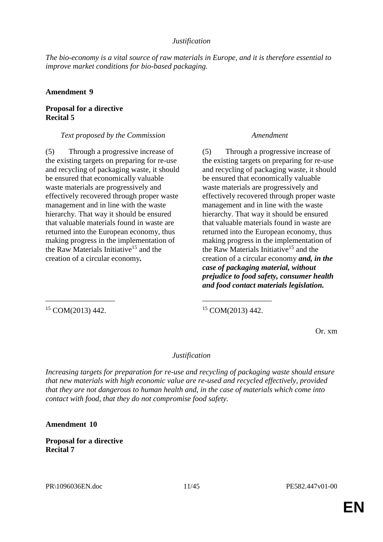# *Justification*

*The bio-economy is a vital source of raw materials in Europe, and it is therefore essential to improve market conditions for bio-based packaging.*

# **Amendment 9**

# **Proposal for a directive Recital 5**

# *Text proposed by the Commission Amendment*

(5) Through a progressive increase of the existing targets on preparing for re-use and recycling of packaging waste, it should be ensured that economically valuable waste materials are progressively and effectively recovered through proper waste management and in line with the waste hierarchy. That way it should be ensured that valuable materials found in waste are returned into the European economy, thus making progress in the implementation of the Raw Materials Initiative<sup>15</sup> and the creation of a circular economy*.*

(5) Through a progressive increase of the existing targets on preparing for re-use and recycling of packaging waste, it should be ensured that economically valuable waste materials are progressively and effectively recovered through proper waste management and in line with the waste hierarchy. That way it should be ensured that valuable materials found in waste are returned into the European economy, thus making progress in the implementation of the Raw Materials Initiative<sup>15</sup> and the creation of a circular economy *and, in the case of packaging material, without prejudice to food safety, consumer health and food contact materials legislation.*

<sup>15</sup> COM(2013) 442. <sup>15</sup> COM(2013) 442.

Or. xm

#### *Justification*

\_\_\_\_\_\_\_\_\_\_\_\_\_\_\_\_\_\_ \_\_\_\_\_\_\_\_\_\_\_\_\_\_\_\_\_\_

*Increasing targets for preparation for re-use and recycling of packaging waste should ensure that new materials with high economic value are re-used and recycled effectively, provided that they are not dangerous to human health and, in the case of materials which come into contact with food, that they do not compromise food safety.*

**Amendment 10**

**Proposal for a directive Recital 7**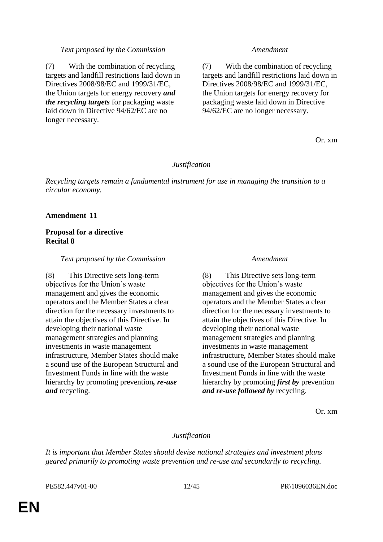(7) With the combination of recycling targets and landfill restrictions laid down in Directives 2008/98/EC and 1999/31/EC, the Union targets for energy recovery *and the recycling targets* for packaging waste laid down in Directive 94/62/EC are no longer necessary.

(7) With the combination of recycling targets and landfill restrictions laid down in Directives 2008/98/EC and 1999/31/EC, the Union targets for energy recovery for packaging waste laid down in Directive 94/62/EC are no longer necessary.

Or. xm

# *Justification*

*Recycling targets remain a fundamental instrument for use in managing the transition to a circular economy.*

# **Amendment 11**

# **Proposal for a directive Recital 8**

# *Text proposed by the Commission Amendment*

(8) This Directive sets long-term objectives for the Union's waste management and gives the economic operators and the Member States a clear direction for the necessary investments to attain the objectives of this Directive. In developing their national waste management strategies and planning investments in waste management infrastructure, Member States should make a sound use of the European Structural and Investment Funds in line with the waste hierarchy by promoting prevention*, re-use and* recycling.

(8) This Directive sets long-term objectives for the Union's waste management and gives the economic operators and the Member States a clear direction for the necessary investments to attain the objectives of this Directive. In developing their national waste management strategies and planning investments in waste management infrastructure, Member States should make a sound use of the European Structural and Investment Funds in line with the waste hierarchy by promoting *first by* prevention *and re-use followed by* recycling.

Or. xm

# *Justification*

*It is important that Member States should devise national strategies and investment plans geared primarily to promoting waste prevention and re-use and secondarily to recycling.*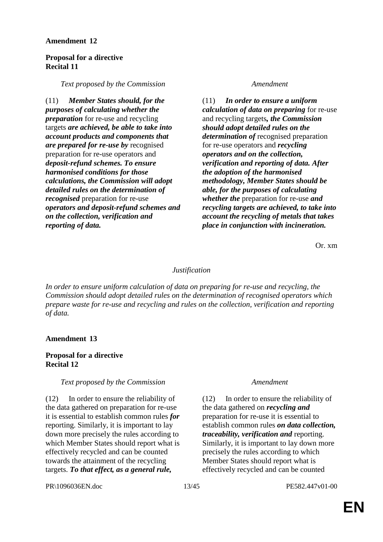# **Proposal for a directive Recital 11**

### *Text proposed by the Commission Amendment*

(11) *Member States should, for the purposes of calculating whether the preparation* for re-use and recycling targets *are achieved, be able to take into account products and components that are prepared for re-use by* recognised preparation for re-use operators and *deposit-refund schemes. To ensure harmonised conditions for those calculations, the Commission will adopt detailed rules on the determination of recognised* preparation for re-use *operators and deposit-refund schemes and on the collection, verification and reporting of data.*

(11) *In order to ensure a uniform calculation of data on preparing* for re-use and recycling targets*, the Commission should adopt detailed rules on the determination of* recognised preparation for re-use operators and *recycling operators and on the collection, verification and reporting of data. After the adoption of the harmonised methodology, Member States should be able, for the purposes of calculating whether the* preparation for re-use *and recycling targets are achieved, to take into account the recycling of metals that takes place in conjunction with incineration.*

Or. xm

### *Justification*

*In order to ensure uniform calculation of data on preparing for re-use and recycling, the Commission should adopt detailed rules on the determination of recognised operators which prepare waste for re-use and recycling and rules on the collection, verification and reporting of data.*

# **Amendment 13**

# **Proposal for a directive Recital 12**

#### *Text proposed by the Commission Amendment*

(12) In order to ensure the reliability of the data gathered on preparation for re-use it is essential to establish common rules *for* reporting. Similarly, it is important to lay down more precisely the rules according to which Member States should report what is effectively recycled and can be counted towards the attainment of the recycling targets. *To that effect, as a general rule,*

(12) In order to ensure the reliability of the data gathered on *recycling and* preparation for re-use it is essential to establish common rules *on data collection, traceability, verification and* reporting. Similarly, it is important to lay down more precisely the rules according to which Member States should report what is effectively recycled and can be counted

PR\1096036EN.doc 13/45 PE582.447v01-00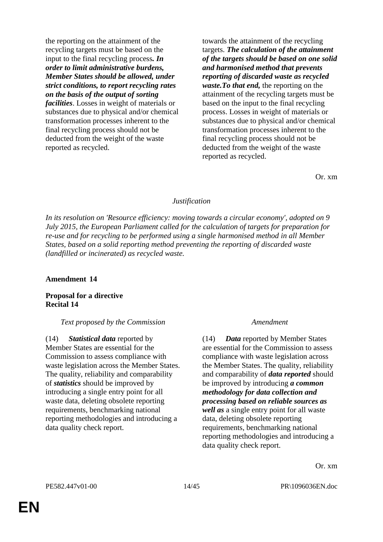the reporting on the attainment of the recycling targets must be based on the input to the final recycling process*. In order to limit administrative burdens, Member States should be allowed, under strict conditions, to report recycling rates on the basis of the output of sorting facilities*. Losses in weight of materials or substances due to physical and/or chemical transformation processes inherent to the final recycling process should not be deducted from the weight of the waste reported as recycled.

towards the attainment of the recycling targets. *The calculation of the attainment of the targets should be based on one solid and harmonised method that prevents reporting of discarded waste as recycled waste.To that end,* the reporting on the attainment of the recycling targets must be based on the input to the final recycling process. Losses in weight of materials or substances due to physical and/or chemical transformation processes inherent to the final recycling process should not be deducted from the weight of the waste reported as recycled.

Or. xm

# *Justification*

*In its resolution on 'Resource efficiency: moving towards a circular economy', adopted on 9 July 2015, the European Parliament called for the calculation of targets for preparation for re-use and for recycling to be performed using a single harmonised method in all Member States, based on a solid reporting method preventing the reporting of discarded waste (landfilled or incinerated) as recycled waste.*

#### **Amendment 14**

# **Proposal for a directive Recital 14**

# *Text proposed by the Commission Amendment*

(14) *Statistical data* reported by Member States are essential for the Commission to assess compliance with waste legislation across the Member States. The quality, reliability and comparability of *statistics* should be improved by introducing a single entry point for all waste data, deleting obsolete reporting requirements, benchmarking national reporting methodologies and introducing a data quality check report.

(14) *Data* reported by Member States are essential for the Commission to assess compliance with waste legislation across the Member States. The quality, reliability and comparability of *data reported* should be improved by introducing *a common methodology for data collection and processing based on reliable sources as well as* a single entry point for all waste data, deleting obsolete reporting requirements, benchmarking national reporting methodologies and introducing a data quality check report.

Or. xm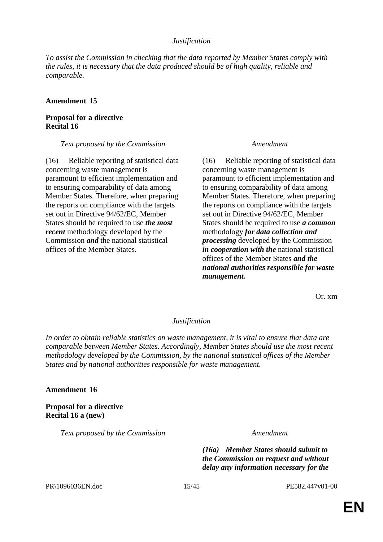# *Justification*

*To assist the Commission in checking that the data reported by Member States comply with the rules, it is necessary that the data produced should be of high quality, reliable and comparable.*

#### **Amendment 15**

# **Proposal for a directive Recital 16**

### *Text proposed by the Commission Amendment*

(16) Reliable reporting of statistical data concerning waste management is paramount to efficient implementation and to ensuring comparability of data among Member States. Therefore, when preparing the reports on compliance with the targets set out in Directive 94/62/EC, Member States should be required to use *the most recent* methodology developed by the Commission *and* the national statistical offices of the Member States*.*

(16) Reliable reporting of statistical data concerning waste management is paramount to efficient implementation and to ensuring comparability of data among Member States. Therefore, when preparing the reports on compliance with the targets set out in Directive 94/62/EC, Member States should be required to use *a common* methodology *for data collection and processing* developed by the Commission *in cooperation with the* national statistical offices of the Member States *and the national authorities responsible for waste management.*

Or. xm

# *Justification*

*In order to obtain reliable statistics on waste management, it is vital to ensure that data are comparable between Member States. Accordingly, Member States should use the most recent methodology developed by the Commission, by the national statistical offices of the Member States and by national authorities responsible for waste management.*

# **Amendment 16**

# **Proposal for a directive Recital 16 a (new)**

*Text proposed by the Commission Amendment*

*(16a) Member States should submit to the Commission on request and without delay any information necessary for the* 

PR\1096036EN.doc 15/45 PE582.447v01-00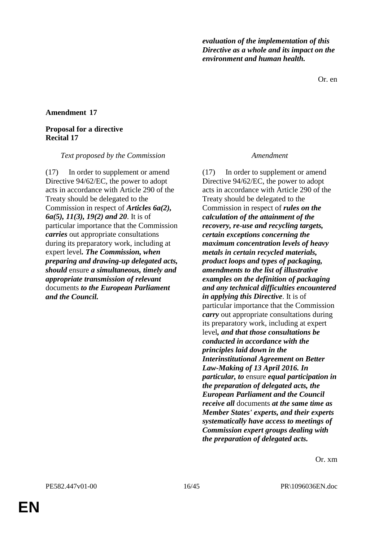*evaluation of the implementation of this Directive as a whole and its impact on the environment and human health.*

Or. en

### **Amendment 17**

### **Proposal for a directive Recital 17**

#### *Text proposed by the Commission Amendment*

(17) In order to supplement or amend Directive 94/62/EC, the power to adopt acts in accordance with Article 290 of the Treaty should be delegated to the Commission in respect of *Articles 6a(2), 6a(5), 11(3), 19(2) and 20*. It is of particular importance that the Commission *carries* out appropriate consultations during its preparatory work, including at expert level*. The Commission, when preparing and drawing-up delegated acts, should* ensure *a simultaneous, timely and appropriate transmission of relevant* documents *to the European Parliament and the Council.*

(17) In order to supplement or amend Directive 94/62/EC, the power to adopt acts in accordance with Article 290 of the Treaty should be delegated to the Commission in respect of *rules on the calculation of the attainment of the recovery, re-use and recycling targets, certain exceptions concerning the maximum concentration levels of heavy metals in certain recycled materials, product loops and types of packaging, amendments to the list of illustrative examples on the definition of packaging and any technical difficulties encountered in applying this Directive*. It is of particular importance that the Commission *carry* out appropriate consultations during its preparatory work, including at expert level*, and that those consultations be conducted in accordance with the principles laid down in the Interinstitutional Agreement on Better Law-Making of 13 April 2016. In particular, to* ensure *equal participation in the preparation of delegated acts, the European Parliament and the Council receive all* documents *at the same time as Member States' experts, and their experts systematically have access to meetings of Commission expert groups dealing with the preparation of delegated acts.*

Or. xm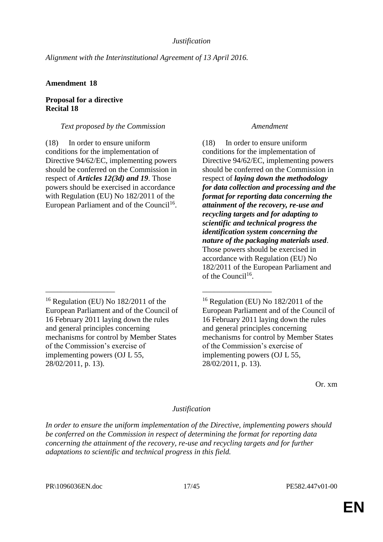*Alignment with the Interinstitutional Agreement of 13 April 2016.*

# **Amendment 18**

# **Proposal for a directive Recital 18**

# *Text proposed by the Commission Amendment*

(18) In order to ensure uniform conditions for the implementation of Directive 94/62/EC, implementing powers should be conferred on the Commission in respect of *Articles 12(3d) and 19*. Those powers should be exercised in accordance with Regulation (EU) No 182/2011 of the European Parliament and of the Council<sup>16</sup>.

\_\_\_\_\_\_\_\_\_\_\_\_\_\_\_\_\_\_ \_\_\_\_\_\_\_\_\_\_\_\_\_\_\_\_\_\_

(18) In order to ensure uniform conditions for the implementation of Directive 94/62/EC, implementing powers should be conferred on the Commission in respect of *laying down the methodology for data collection and processing and the format for reporting data concerning the attainment of the recovery, re-use and recycling targets and for adapting to scientific and technical progress the identification system concerning the nature of the packaging materials used*. Those powers should be exercised in accordance with Regulation (EU) No 182/2011 of the European Parliament and of the Council<sup>16</sup>.

Or. xm

# *Justification*

*In order to ensure the uniform implementation of the Directive, implementing powers should be conferred on the Commission in respect of determining the format for reporting data concerning the attainment of the recovery, re-use and recycling targets and for further adaptations to scientific and technical progress in this field.*

 $16$  Regulation (EU) No  $182/2011$  of the European Parliament and of the Council of 16 February 2011 laying down the rules and general principles concerning mechanisms for control by Member States of the Commission's exercise of implementing powers (OJ L 55, 28/02/2011, p. 13).

 $16$  Regulation (EU) No  $182/2011$  of the European Parliament and of the Council of 16 February 2011 laying down the rules and general principles concerning mechanisms for control by Member States of the Commission's exercise of implementing powers (OJ L 55, 28/02/2011, p. 13).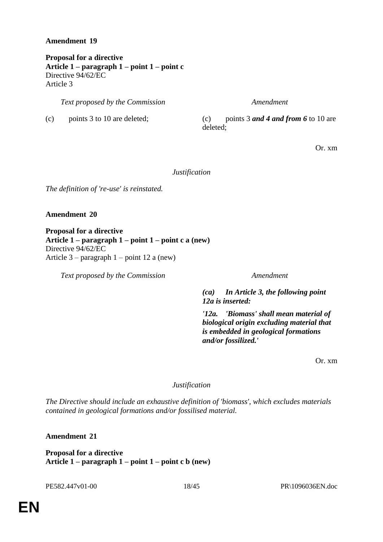**Proposal for a directive Article 1 – paragraph 1 – point 1 – point c** Directive 94/62/EC Article 3

*Text proposed by the Commission Amendment*

(c) points 3 to 10 are deleted; (c) points 3 *and 4 and from 6* to 10 are deleted;

Or. xm

*Justification*

*The definition of 're-use' is reinstated.*

**Amendment 20**

**Proposal for a directive Article 1 – paragraph 1 – point 1 – point c a (new)** Directive 94/62/EC Article 3 – paragraph 1 – point 12 a (new)

*Text proposed by the Commission Amendment*

*(ca) In Article 3, the following point 12a is inserted:*

*'12a. 'Biomass' shall mean material of biological origin excluding material that is embedded in geological formations and/or fossilized.'*

Or. xm

#### *Justification*

*The Directive should include an exhaustive definition of 'biomass', which excludes materials contained in geological formations and/or fossilised material.*

**Amendment 21**

**Proposal for a directive Article 1 – paragraph 1 – point 1 – point c b (new)**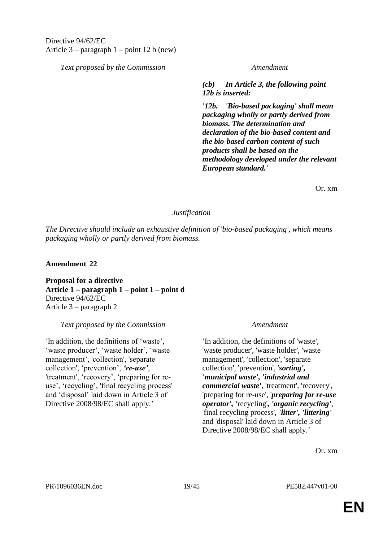*(cb) In Article 3, the following point 12b is inserted:*

*'12b. 'Bio-based packaging' shall mean packaging wholly or partly derived from biomass. The determination and declaration of the bio-based content and the bio-based carbon content of such products shall be based on the methodology developed under the relevant European standard.'*

Or. xm

# *Justification*

*The Directive should include an exhaustive definition of 'bio-based packaging', which means packaging wholly or partly derived from biomass.*

**Amendment 22**

**Proposal for a directive Article 1 – paragraph 1 – point 1 – point d** Directive 94/62/EC Article 3 – paragraph 2

# *Text proposed by the Commission Amendment*

*'*In addition, the definitions of 'waste', 'waste producer', 'waste holder', 'waste management', 'collection', 'separate collection', 'prevention', *'re-use'*, 'treatment', 'recovery', 'preparing for reuse', 'recycling', 'final recycling process' and 'disposal' laid down in Article 3 of Directive 2008/98/EC shall apply.*'*

*'*In addition, the definitions of 'waste', 'waste producer', 'waste holder', 'waste management', 'collection', 'separate collection', 'prevention', '*sorting', 'municipal waste', 'industrial and commercial waste'*, 'treatment', 'recovery', 'preparing for re-use', '*preparing for re-use operator', '*recycling'*, 'organic recycling'*, 'final recycling process'*, 'litter', 'littering'* and 'disposal' laid down in Article 3 of Directive 2008/98/EC shall apply.*'*

Or. xm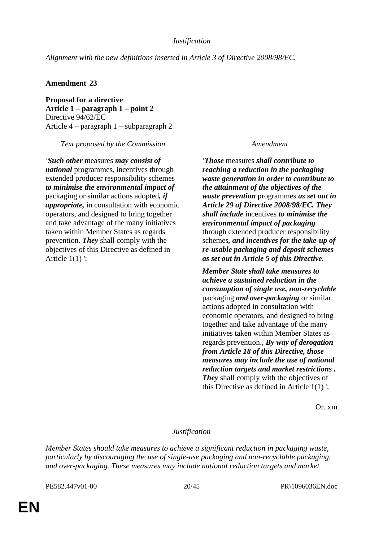# *Justification*

*Alignment with the new definitions inserted in Article 3 of Directive 2008/98/EC.*

# **Amendment 23**

**Proposal for a directive Article 1 – paragraph 1 – point 2** Directive 94/62/EC Article 4 – paragraph 1 – subparagraph 2

*Text proposed by the Commission Amendment*

*'Such other* measures *may consist of national* programmes*,* incentives through extended producer responsibility schemes *to minimise the environmental impact of* packaging or similar actions adopted*, if appropriate,* in consultation with economic operators, and designed to bring together and take advantage of the many initiatives taken within Member States as regards prevention. *They* shall comply with the objectives of this Directive as defined in Article  $1(1)$  ';

*'Those* measures *shall contribute to reaching a reduction in the packaging waste generation in order to contribute to the attainment of the objectives of the waste prevention* programmes *as set out in Article 29 of Directive 2008/98/EC. They shall include* incentives *to minimise the environmental impact of packaging* through extended producer responsibility schemes*, and incentives for the take-up of re-usable packaging and deposit schemes as set out in Article 5 of this Directive.*

*Member State shall take measures to achieve a sustained reduction in the consumption of single use, non-recyclable* packaging *and over-packaging* or similar actions adopted in consultation with economic operators, and designed to bring together and take advantage of the many initiatives taken within Member States as regards prevention., *By way of derogation from Article 18 of this Directive, those measures may include the use of national reduction targets and market restrictions . They* shall comply with the objectives of this Directive as defined in Article 1(1) ';

Or. xm

# *Justification*

*Member States should take measures to achieve a significant reduction in packaging waste, particularly by discouraging the use of single-use packaging and non-recyclable packaging, and over-packaging. These measures may include national reduction targets and market*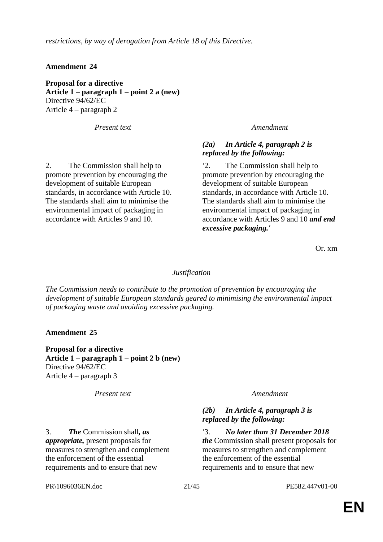**Proposal for a directive Article 1 – paragraph 1 – point 2 a (new)** Directive 94/62/EC Article 4 – paragraph 2

*Present text Amendment*

2. The Commission shall help to promote prevention by encouraging the development of suitable European

standards, in accordance with Article 10. The standards shall aim to minimise the environmental impact of packaging in accordance with Articles 9 and 10.

# *(2a) In Article 4, paragraph 2 is replaced by the following:*

*'*2. The Commission shall help to promote prevention by encouraging the development of suitable European standards, in accordance with Article 10. The standards shall aim to minimise the environmental impact of packaging in accordance with Articles 9 and 10 *and end excessive packaging.'*

Or. xm

# *Justification*

*The Commission needs to contribute to the promotion of prevention by encouraging the development of suitable European standards geared to minimising the environmental impact of packaging waste and avoiding excessive packaging.*

**Amendment 25**

**Proposal for a directive Article 1 – paragraph 1 – point 2 b (new)** Directive 94/62/EC Article 4 – paragraph 3

*Present text Amendment*

# *(2b) In Article 4, paragraph 3 is replaced by the following:*

*'*3. *No later than 31 December 2018 the* Commission shall present proposals for measures to strengthen and complement the enforcement of the essential requirements and to ensure that new

3. *The* Commission shall*, as appropriate,* present proposals for measures to strengthen and complement the enforcement of the essential requirements and to ensure that new

PR\1096036EN.doc 21/45 PE582.447v01-00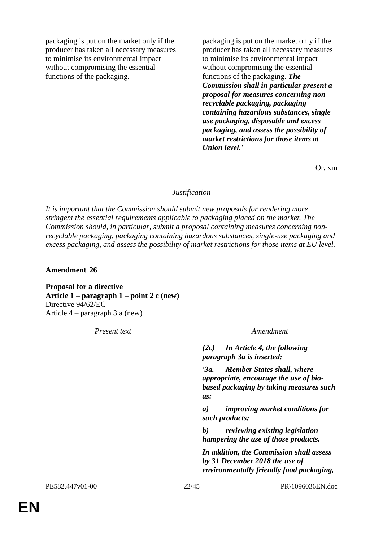packaging is put on the market only if the producer has taken all necessary measures to minimise its environmental impact without compromising the essential functions of the packaging.

packaging is put on the market only if the producer has taken all necessary measures to minimise its environmental impact without compromising the essential functions of the packaging. *The Commission shall in particular present a proposal for measures concerning nonrecyclable packaging, packaging containing hazardous substances, single use packaging, disposable and excess packaging, and assess the possibility of market restrictions for those items at Union level.'*

Or. xm

#### *Justification*

*It is important that the Commission should submit new proposals for rendering more stringent the essential requirements applicable to packaging placed on the market. The Commission should, in particular, submit a proposal containing measures concerning nonrecyclable packaging, packaging containing hazardous substances, single-use packaging and excess packaging, and assess the possibility of market restrictions for those items at EU level.*

**Amendment 26**

**Proposal for a directive Article 1 – paragraph 1 – point 2 c (new)** Directive 94/62/EC Article 4 – paragraph 3 a (new)

*Present text Amendment*

*(2c) In Article 4, the following paragraph 3a is inserted:*

*'3a. Member States shall, where appropriate, encourage the use of biobased packaging by taking measures such as:*

*a) improving market conditions for such products;*

*b) reviewing existing legislation hampering the use of those products.*

*In addition, the Commission shall assess by 31 December 2018 the use of environmentally friendly food packaging,* 

PE582.447v01-00 22/45 PR\1096036EN.doc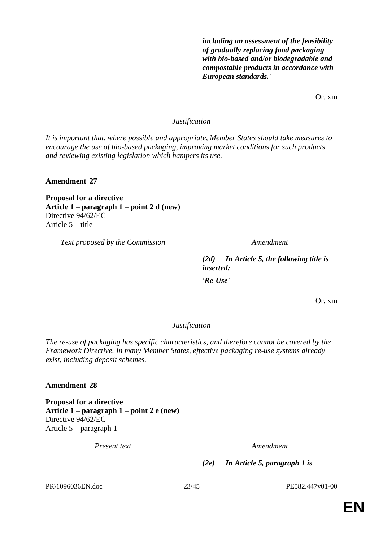*including an assessment of the feasibility of gradually replacing food packaging with bio-based and/or biodegradable and compostable products in accordance with European standards.'*

Or. xm

### *Justification*

*It is important that, where possible and appropriate, Member States should take measures to encourage the use of bio-based packaging, improving market conditions for such products and reviewing existing legislation which hampers its use.*

**Amendment 27**

**Proposal for a directive Article 1 – paragraph 1 – point 2 d (new)** Directive 94/62/EC Article 5 – title

*Text proposed by the Commission Amendment*

*(2d) In Article 5, the following title is inserted: 'Re-Use'*

Or. xm

#### *Justification*

*The re-use of packaging has specific characteristics, and therefore cannot be covered by the Framework Directive. In many Member States, effective packaging re-use systems already exist, including deposit schemes.*

**Amendment 28**

**Proposal for a directive Article 1 – paragraph 1 – point 2 e (new)** Directive 94/62/EC Article 5 – paragraph 1

*Present text Amendment*

*(2e) In Article 5, paragraph 1 is* 

PR\1096036EN.doc 23/45 PE582.447v01-00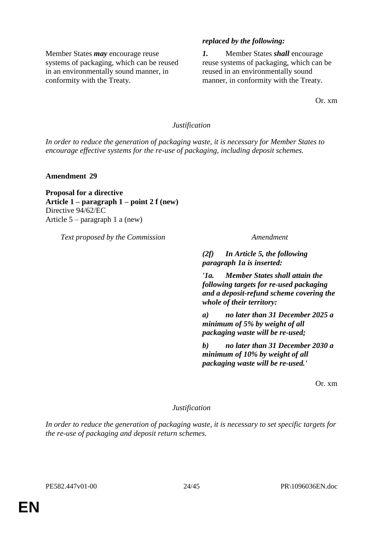Member States *may* encourage reuse systems of packaging, which can be reused in an environmentally sound manner, in conformity with the Treaty.

# *replaced by the following:*

*1.* Member States *shall* encourage reuse systems of packaging, which can be reused in an environmentally sound manner, in conformity with the Treaty.

Or. xm

# *Justification*

*In order to reduce the generation of packaging waste, it is necessary for Member States to encourage effective systems for the re-use of packaging, including deposit schemes.*

**Amendment 29**

**Proposal for a directive Article 1 – paragraph 1 – point 2 f (new)** Directive 94/62/EC Article 5 – paragraph 1 a (new)

*Text proposed by the Commission Amendment*

*(2f) In Article 5, the following paragraph 1a is inserted:*

*'1a. Member States shall attain the following targets for re-used packaging and a deposit-refund scheme covering the whole of their territory:*

*a) no later than 31 December 2025 a minimum of 5% by weight of all packaging waste will be re-used;*

*b) no later than 31 December 2030 a minimum of 10% by weight of all packaging waste will be re-used.'*

Or. xm

# *Justification*

*In order to reduce the generation of packaging waste, it is necessary to set specific targets for the re-use of packaging and deposit return schemes.*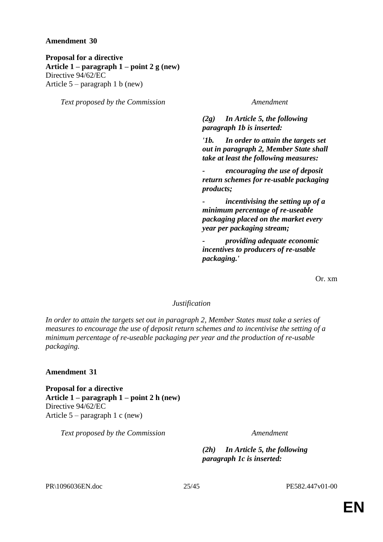**Proposal for a directive Article 1 – paragraph 1 – point 2 g (new)** Directive 94/62/EC Article 5 – paragraph 1 b (new)

*Text proposed by the Commission Amendment*

*(2g) In Article 5, the following paragraph 1b is inserted:*

*'1b. In order to attain the targets set out in paragraph 2, Member State shall take at least the following measures:*

*- encouraging the use of deposit return schemes for re-usable packaging products;*

*- incentivising the setting up of a minimum percentage of re-useable packaging placed on the market every year per packaging stream;*

*- providing adequate economic incentives to producers of re-usable packaging.'*

Or. xm

#### *Justification*

*In order to attain the targets set out in paragraph 2, Member States must take a series of measures to encourage the use of deposit return schemes and to incentivise the setting of a minimum percentage of re-useable packaging per year and the production of re-usable packaging.*

### **Amendment 31**

**Proposal for a directive Article 1 – paragraph 1 – point 2 h (new)** Directive 94/62/EC Article 5 – paragraph 1 c (new)

*Text proposed by the Commission Amendment*

*(2h) In Article 5, the following paragraph 1c is inserted:*

PR\1096036EN.doc 25/45 PE582.447v01-00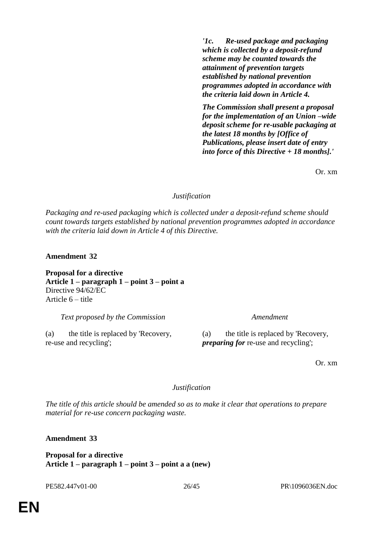*'1c. Re-used package and packaging which is collected by a deposit-refund scheme may be counted towards the attainment of prevention targets established by national prevention programmes adopted in accordance with the criteria laid down in Article 4.*

*The Commission shall present a proposal for the implementation of an Union –wide deposit scheme for re-usable packaging at the latest 18 months by [Office of Publications, please insert date of entry into force of this Directive + 18 months].'*

Or. xm

# *Justification*

*Packaging and re-used packaging which is collected under a deposit-refund scheme should count towards targets established by national prevention programmes adopted in accordance with the criteria laid down in Article 4 of this Directive.*

**Amendment 32**

**Proposal for a directive Article 1 – paragraph 1 – point 3 – point a** Directive 94/62/EC Article 6 – title

*Text proposed by the Commission Amendment*

(a) the title is replaced by 'Recovery, re-use and recycling';

(a) the title is replaced by 'Recovery, *preparing for* re-use and recycling';

Or. xm

#### *Justification*

*The title of this article should be amended so as to make it clear that operations to prepare material for re-use concern packaging waste.*

**Amendment 33**

**Proposal for a directive Article 1 – paragraph 1 – point 3 – point a a (new)**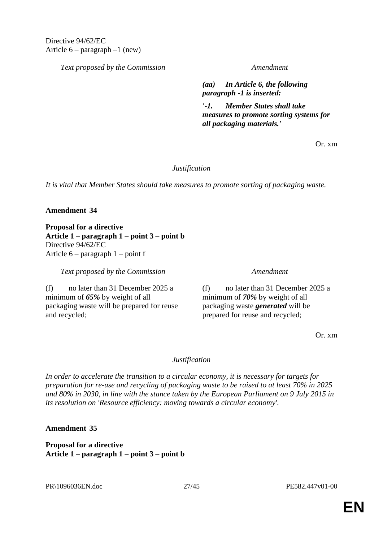*(aa) In Article 6, the following paragraph -1 is inserted:*

*'-1. Member States shall take measures to promote sorting systems for all packaging materials.'*

Or. xm

# *Justification*

*It is vital that Member States should take measures to promote sorting of packaging waste.*

# **Amendment 34**

**Proposal for a directive Article 1 – paragraph 1 – point 3 – point b** Directive 94/62/EC Article 6 – paragraph 1 – point f

*Text proposed by the Commission Amendment*

(f) no later than 31 December 2025 a minimum of *65%* by weight of all packaging waste will be prepared for reuse and recycled;

(f) no later than 31 December 2025 a minimum of *70%* by weight of all packaging waste *generated* will be prepared for reuse and recycled;

Or. xm

# *Justification*

*In order to accelerate the transition to a circular economy, it is necessary for targets for preparation for re-use and recycling of packaging waste to be raised to at least 70% in 2025 and 80% in 2030, in line with the stance taken by the European Parliament on 9 July 2015 in its resolution on 'Resource efficiency: moving towards a circular economy'.*

**Amendment 35**

**Proposal for a directive Article 1 – paragraph 1 – point 3 – point b**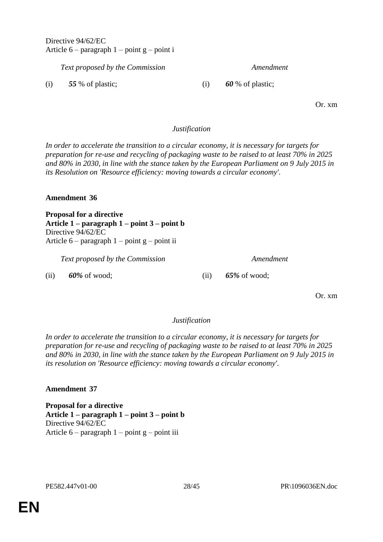(i) *55* % of plastic; (i) *60* % of plastic;

Or. xm

# *Justification*

*In order to accelerate the transition to a circular economy, it is necessary for targets for preparation for re-use and recycling of packaging waste to be raised to at least 70% in 2025 and 80% in 2030, in line with the stance taken by the European Parliament on 9 July 2015 in its Resolution on 'Resource efficiency: moving towards a circular economy'.*

# **Amendment 36**

**Proposal for a directive Article 1 – paragraph 1 – point 3 – point b** Directive 94/62/EC Article 6 – paragraph 1 – point g – point ii

*Text proposed by the Commission Amendment*

(ii) *60%* of wood; (ii) *65%* of wood;

Or. xm

# *Justification*

*In order to accelerate the transition to a circular economy, it is necessary for targets for preparation for re-use and recycling of packaging waste to be raised to at least 70% in 2025 and 80% in 2030, in line with the stance taken by the European Parliament on 9 July 2015 in its resolution on 'Resource efficiency: moving towards a circular economy'.*

# **Amendment 37**

**Proposal for a directive Article 1 – paragraph 1 – point 3 – point b** Directive 94/62/EC Article  $6$  – paragraph  $1$  – point  $g$  – point iii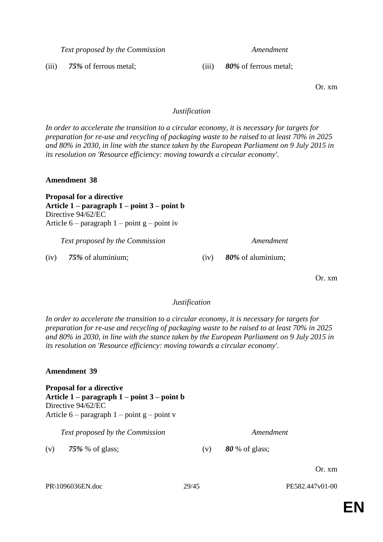(iii) *75%* of ferrous metal; (iii) *80%* of ferrous metal;

Or. xm

# *Justification*

*In order to accelerate the transition to a circular economy, it is necessary for targets for preparation for re-use and recycling of packaging waste to be raised to at least 70% in 2025 and 80% in 2030, in line with the stance taken by the European Parliament on 9 July 2015 in its resolution on 'Resource efficiency: moving towards a circular economy'.*

### **Amendment 38**

**Proposal for a directive Article 1 – paragraph 1 – point 3 – point b** Directive 94/62/EC Article 6 – paragraph 1 – point g – point iv

*Text proposed by the Commission Amendment*

(iv) *75%* of aluminium; (iv) *80%* of aluminium;

Or. xm

#### *Justification*

*In order to accelerate the transition to a circular economy, it is necessary for targets for preparation for re-use and recycling of packaging waste to be raised to at least 70% in 2025 and 80% in 2030, in line with the stance taken by the European Parliament on 9 July 2015 in its resolution on 'Resource efficiency: moving towards a circular economy'.*

# **Amendment 39**

**Proposal for a directive Article 1 – paragraph 1 – point 3 – point b** Directive 94/62/EC Article  $6$  – paragraph  $1$  – point  $g$  – point v

*Text proposed by the Commission Amendment*

(v) *75%* % of glass; (v) *80* % of glass;

PR\1096036EN.doc 29/45 PE582.447v01-00

Or. xm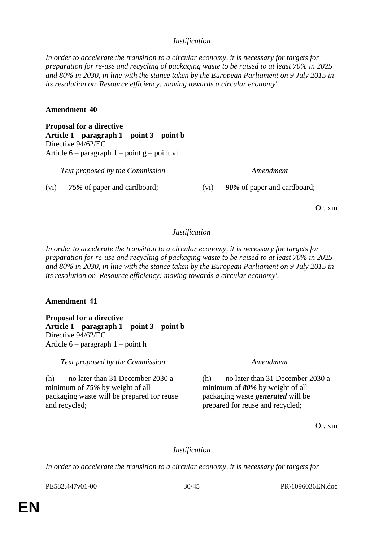# *Justification*

*In order to accelerate the transition to a circular economy, it is necessary for targets for preparation for re-use and recycling of packaging waste to be raised to at least 70% in 2025 and 80% in 2030, in line with the stance taken by the European Parliament on 9 July 2015 in its resolution on 'Resource efficiency: moving towards a circular economy'.*

### **Amendment 40**

**Proposal for a directive Article 1 – paragraph 1 – point 3 – point b** Directive 94/62/EC Article 6 – paragraph 1 – point g – point vi

*Text proposed by the Commission Amendment*

(vi) *75%* of paper and cardboard; (vi) *90%* of paper and cardboard;

Or. xm

# *Justification*

*In order to accelerate the transition to a circular economy, it is necessary for targets for preparation for re-use and recycling of packaging waste to be raised to at least 70% in 2025 and 80% in 2030, in line with the stance taken by the European Parliament on 9 July 2015 in its resolution on 'Resource efficiency: moving towards a circular economy'.*

# **Amendment 41**

**Proposal for a directive Article 1 – paragraph 1 – point 3 – point b**  Directive 94/62/EC Article 6 – paragraph 1 – point h

*Text proposed by the Commission Amendment*

(h) no later than 31 December 2030 a minimum of *75%* by weight of all packaging waste will be prepared for reuse and recycled;

(h) no later than 31 December 2030 a minimum of *80%* by weight of all packaging waste *generated* will be prepared for reuse and recycled;

Or. xm

# *Justification*

*In order to accelerate the transition to a circular economy, it is necessary for targets for* 

PE582.447v01-00 30/45 PR\1096036EN.doc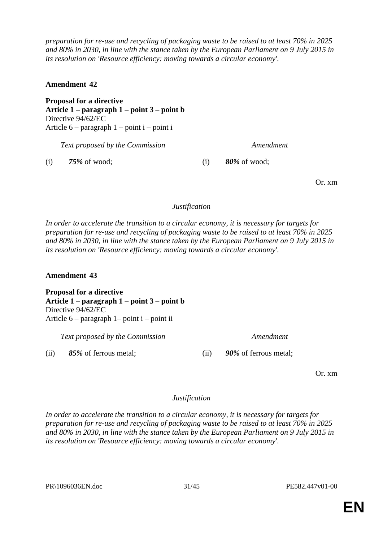*preparation for re-use and recycling of packaging waste to be raised to at least 70% in 2025 and 80% in 2030, in line with the stance taken by the European Parliament on 9 July 2015 in its resolution on 'Resource efficiency: moving towards a circular economy'.*

**Amendment 42**

**Proposal for a directive Article 1 – paragraph 1 – point 3 – point b**  Directive 94/62/EC Article 6 – paragraph 1 – point i – point i

|     | Text proposed by the Commission | Amendment       |
|-----|---------------------------------|-----------------|
| (i) | $75\%$ of wood;                 | $80\%$ of wood; |

Or. xm

# *Justification*

*In order to accelerate the transition to a circular economy, it is necessary for targets for preparation for re-use and recycling of packaging waste to be raised to at least 70% in 2025 and 80% in 2030, in line with the stance taken by the European Parliament on 9 July 2015 in its resolution on 'Resource efficiency: moving towards a circular economy'.*

# **Amendment 43**

**Proposal for a directive Article 1 – paragraph 1 – point 3 – point b**  Directive 94/62/EC Article 6 – paragraph 1– point i – point ii

*Text proposed by the Commission Amendment*

(ii) *85%* of ferrous metal; (ii) *90%* of ferrous metal;

Or. xm

# *Justification*

*In order to accelerate the transition to a circular economy, it is necessary for targets for preparation for re-use and recycling of packaging waste to be raised to at least 70% in 2025 and 80% in 2030, in line with the stance taken by the European Parliament on 9 July 2015 in its resolution on 'Resource efficiency: moving towards a circular economy'.*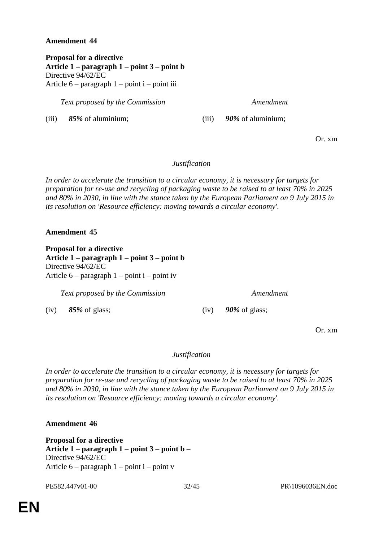**Proposal for a directive Article 1 – paragraph 1 – point 3 – point b**  Directive 94/62/EC Article 6 – paragraph 1 – point i – point iii

*Text proposed by the Commission Amendment*

(iii) *85%* of aluminium; (iii) *90%* of aluminium;

Or. xm

*Justification*

*In order to accelerate the transition to a circular economy, it is necessary for targets for preparation for re-use and recycling of packaging waste to be raised to at least 70% in 2025 and 80% in 2030, in line with the stance taken by the European Parliament on 9 July 2015 in its resolution on 'Resource efficiency: moving towards a circular economy'.*

**Amendment 45**

**Proposal for a directive Article 1 – paragraph 1 – point 3 – point b**  Directive 94/62/EC Article  $6$  – paragraph  $1$  – point i – point iv

*Text proposed by the Commission Amendment*

(iv) *85%* of glass; (iv) *90%* of glass;

Or. xm

*Justification*

*In order to accelerate the transition to a circular economy, it is necessary for targets for preparation for re-use and recycling of packaging waste to be raised to at least 70% in 2025 and 80% in 2030, in line with the stance taken by the European Parliament on 9 July 2015 in its resolution on 'Resource efficiency: moving towards a circular economy'.*

**Amendment 46**

**Proposal for a directive Article 1 – paragraph 1 – point 3 – point b –** Directive 94/62/EC Article  $6$  – paragraph  $1$  – point i – point v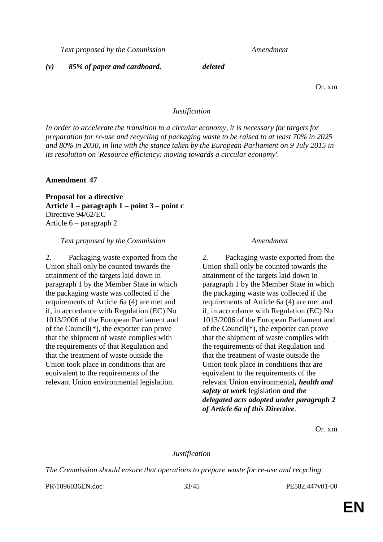*(v) 85% of paper and cardboard. deleted*

Or. xm

### *Justification*

*In order to accelerate the transition to a circular economy, it is necessary for targets for preparation for re-use and recycling of packaging waste to be raised to at least 70% in 2025 and 80% in 2030, in line with the stance taken by the European Parliament on 9 July 2015 in its resolution on 'Resource efficiency: moving towards a circular economy'.*

# **Amendment 47**

**Proposal for a directive Article 1 – paragraph 1 – point 3 – point c** Directive 94/62/EC Article 6 – paragraph 2

### *Text proposed by the Commission Amendment*

2. Packaging waste exported from the Union shall only be counted towards the attainment of the targets laid down in paragraph 1 by the Member State in which the packaging waste was collected if the requirements of Article 6a (4) are met and if, in accordance with Regulation (EC) No 1013/2006 of the European Parliament and of the Council(\*), the exporter can prove that the shipment of waste complies with the requirements of that Regulation and that the treatment of waste outside the Union took place in conditions that are equivalent to the requirements of the relevant Union environmental legislation.

2. Packaging waste exported from the Union shall only be counted towards the attainment of the targets laid down in paragraph 1 by the Member State in which the packaging waste was collected if the requirements of Article 6a (4) are met and if, in accordance with Regulation (EC) No 1013/2006 of the European Parliament and of the Council(\*), the exporter can prove that the shipment of waste complies with the requirements of that Regulation and that the treatment of waste outside the Union took place in conditions that are equivalent to the requirements of the relevant Union environmental*, health and safety at work* legislation *and the delegated acts adopted under paragraph 2 of Article 6a of this Directive*.

Or. xm

#### *Justification*

*The Commission should ensure that operations to prepare waste for re-use and recycling* 

PR\1096036EN.doc 33/45 PE582.447v01-00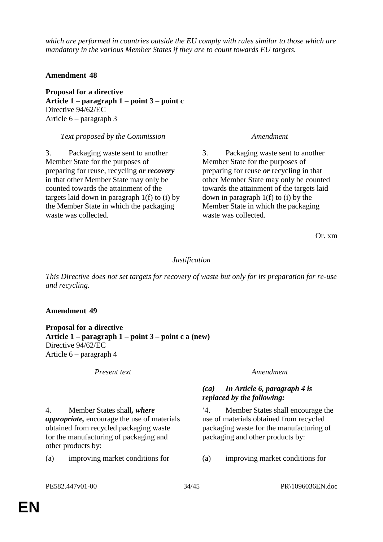*which are performed in countries outside the EU comply with rules similar to those which are mandatory in the various Member States if they are to count towards EU targets.*

# **Amendment 48**

**Proposal for a directive Article 1 – paragraph 1 – point 3 – point c** Directive 94/62/EC Article 6 – paragraph 3

# *Text proposed by the Commission Amendment*

3. Packaging waste sent to another Member State for the purposes of preparing for reuse, recycling *or recovery* in that other Member State may only be counted towards the attainment of the targets laid down in paragraph 1(f) to (i) by the Member State in which the packaging waste was collected.

3. Packaging waste sent to another Member State for the purposes of preparing for reuse *or* recycling in that other Member State may only be counted towards the attainment of the targets laid down in paragraph 1(f) to (i) by the Member State in which the packaging waste was collected.

Or. xm

# *Justification*

*This Directive does not set targets for recovery of waste but only for its preparation for re-use and recycling.*

# **Amendment 49**

**Proposal for a directive Article 1 – paragraph 1 – point 3 – point c a (new)** Directive 94/62/EC Article 6 – paragraph 4

*Present text Amendment*

*appropriate,* encourage the use of materials obtained from recycled packaging waste for the manufacturing of packaging and

4. Member States shall*, where* 

# *(ca) In Article 6, paragraph 4 is replaced by the following:*

*'*4. Member States shall encourage the use of materials obtained from recycled packaging waste for the manufacturing of packaging and other products by:

(a) improving market conditions for (a) improving market conditions for

#### PE582.447v01-00 34/45 PR\1096036EN.doc

other products by: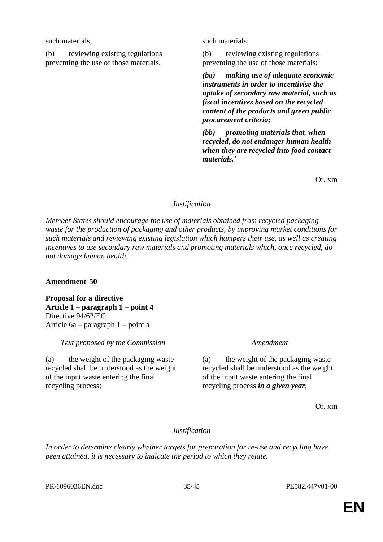such materials; such materials;

(b) reviewing existing regulations preventing the use of those materials.

(b) reviewing existing regulations preventing the use of those materials;

*(ba) making use of adequate economic instruments in order to incentivise the uptake of secondary raw material, such as fiscal incentives based on the recycled content of the products and green public procurement criteria;*

*(bb) promoting materials that, when recycled, do not endanger human health when they are recycled into food contact materials.'*

Or. xm

# *Justification*

*Member States should encourage the use of materials obtained from recycled packaging waste for the production of packaging and other products, by improving market conditions for such materials and reviewing existing legislation which hampers their use, as well as creating incentives to use secondary raw materials and promoting materials which, once recycled, do not damage human health.*

# **Amendment 50**

**Proposal for a directive Article 1 – paragraph 1 – point 4** Directive 94/62/EC Article 6a – paragraph 1 – point a

*Text proposed by the Commission Amendment*

(a) the weight of the packaging waste recycled shall be understood as the weight of the input waste entering the final recycling process;

(a) the weight of the packaging waste recycled shall be understood as the weight of the input waste entering the final recycling process *in a given year*;

Or. xm

# *Justification*

*In order to determine clearly whether targets for preparation for re-use and recycling have been attained, it is necessary to indicate the period to which they relate.*

PR\1096036EN.doc 35/45 PE582.447v01-00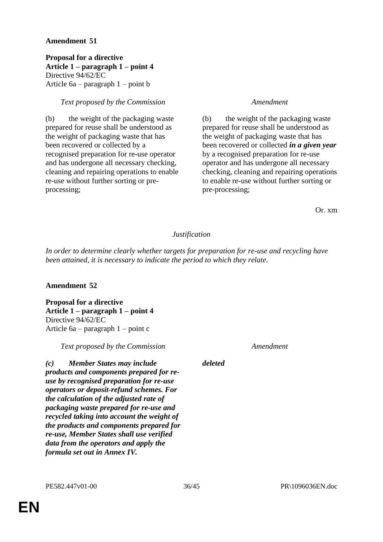**Proposal for a directive Article 1 – paragraph 1 – point 4** Directive 94/62/EC Article 6a – paragraph 1 – point b

# *Text proposed by the Commission Amendment*

(b) the weight of the packaging waste prepared for reuse shall be understood as the weight of packaging waste that has been recovered or collected by a recognised preparation for re-use operator and has undergone all necessary checking, cleaning and repairing operations to enable re-use without further sorting or preprocessing;

(b) the weight of the packaging waste prepared for reuse shall be understood as the weight of packaging waste that has been recovered or collected *in a given year* by a recognised preparation for re-use operator and has undergone all necessary checking, cleaning and repairing operations to enable re-use without further sorting or pre-processing;

Or. xm

# *Justification*

*In order to determine clearly whether targets for preparation for re-use and recycling have been attained, it is necessary to indicate the period to which they relate.*

# **Amendment 52**

**Proposal for a directive Article 1 – paragraph 1 – point 4** Directive 94/62/EC Article 6a – paragraph 1 – point c

*Text proposed by the Commission Amendment*

*(c) Member States may include products and components prepared for reuse by recognised preparation for re-use operators or deposit-refund schemes. For the calculation of the adjusted rate of packaging waste prepared for re-use and recycled taking into account the weight of the products and components prepared for re-use, Member States shall use verified data from the operators and apply the formula set out in Annex IV.*

*deleted*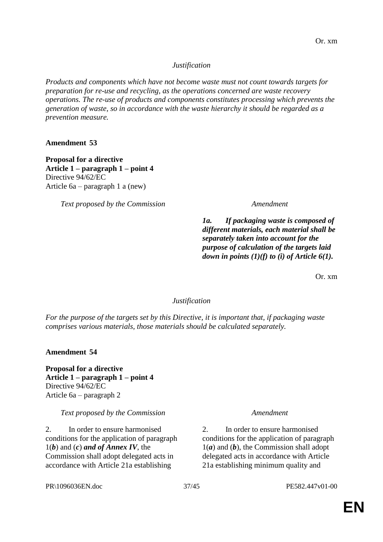*Justification*

*Products and components which have not become waste must not count towards targets for preparation for re-use and recycling, as the operations concerned are waste recovery operations. The re-use of products and components constitutes processing which prevents the generation of waste, so in accordance with the waste hierarchy it should be regarded as a prevention measure.*

**Amendment 53**

**Proposal for a directive Article 1 – paragraph 1 – point 4** Directive 94/62/EC Article 6a – paragraph 1 a (new)

*Text proposed by the Commission Amendment*

*1a. If packaging waste is composed of different materials, each material shall be separately taken into account for the purpose of calculation of the targets laid down in points (1)(f) to (i) of Article 6(1).*

Or. xm

# *Justification*

*For the purpose of the targets set by this Directive, it is important that, if packaging waste comprises various materials, those materials should be calculated separately.*

**Amendment 54**

**Proposal for a directive Article 1 – paragraph 1 – point 4** Directive 94/62/EC Article 6a – paragraph 2

*Text proposed by the Commission Amendment*

2. In order to ensure harmonised conditions for the application of paragraph 1(*b*) and (*c*) *and of Annex IV*, the Commission shall adopt delegated acts in accordance with Article 21a establishing

2. In order to ensure harmonised conditions for the application of paragraph 1(*a*) and (*b*), the Commission shall adopt delegated acts in accordance with Article 21a establishing minimum quality and

PR\1096036EN.doc 37/45 PE582.447v01-00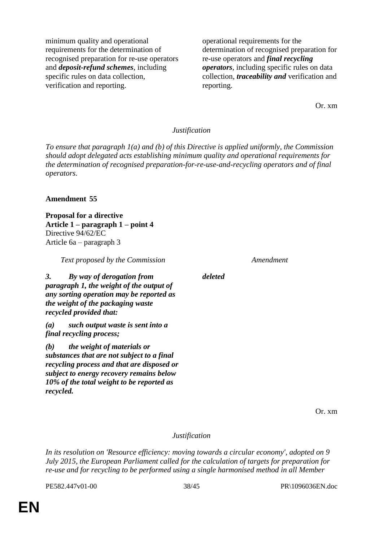minimum quality and operational requirements for the determination of recognised preparation for re-use operators and *deposit-refund schemes*, including specific rules on data collection, verification and reporting.

operational requirements for the determination of recognised preparation for re-use operators and *final recycling operators*, including specific rules on data collection, *traceability and* verification and reporting.

Or. xm

# *Justification*

*To ensure that paragraph 1(a) and (b) of this Directive is applied uniformly, the Commission should adopt delegated acts establishing minimum quality and operational requirements for the determination of recognised preparation-for-re-use-and-recycling operators and of final operators.*

# **Amendment 55**

**Proposal for a directive Article 1 – paragraph 1 – point 4** Directive 94/62/EC Article 6a – paragraph 3

*Text proposed by the Commission Amendment*

*3. By way of derogation from paragraph 1, the weight of the output of any sorting operation may be reported as the weight of the packaging waste recycled provided that:*

*(a) such output waste is sent into a final recycling process;*

*(b) the weight of materials or substances that are not subject to a final recycling process and that are disposed or subject to energy recovery remains below 10% of the total weight to be reported as recycled.*

*deleted*

Or. xm

*Justification*

*In its resolution on 'Resource efficiency: moving towards a circular economy', adopted on 9 July 2015, the European Parliament called for the calculation of targets for preparation for re-use and for recycling to be performed using a single harmonised method in all Member* 

PE582.447v01-00 38/45 PR\1096036EN.doc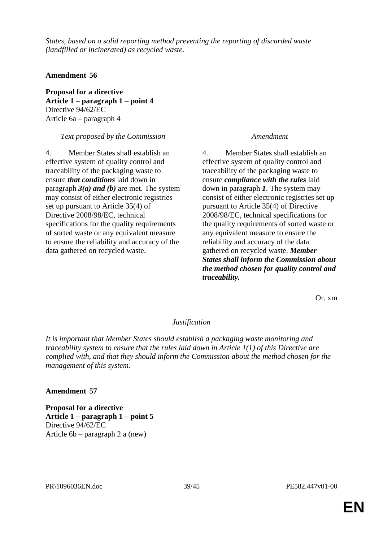*States, based on a solid reporting method preventing the reporting of discarded waste (landfilled or incinerated) as recycled waste.*

# **Amendment 56**

**Proposal for a directive Article 1 – paragraph 1 – point 4** Directive 94/62/EC Article 6a – paragraph 4

# *Text proposed by the Commission Amendment*

4. Member States shall establish an effective system of quality control and traceability of the packaging waste to ensure *that conditions* laid down in paragraph *3(a) and (b)* are met. The system may consist of either electronic registries set up pursuant to Article 35(4) of Directive 2008/98/EC, technical specifications for the quality requirements of sorted waste or any equivalent measure to ensure the reliability and accuracy of the data gathered on recycled waste.

4. Member States shall establish an effective system of quality control and traceability of the packaging waste to ensure *compliance with the rules* laid down in paragraph *1*. The system may consist of either electronic registries set up pursuant to Article 35(4) of Directive 2008/98/EC, technical specifications for the quality requirements of sorted waste or any equivalent measure to ensure the reliability and accuracy of the data gathered on recycled waste. *Member States shall inform the Commission about the method chosen for quality control and traceability.*

Or. xm

# *Justification*

*It is important that Member States should establish a packaging waste monitoring and traceability system to ensure that the rules laid down in Article 1(1) of this Directive are complied with, and that they should inform the Commission about the method chosen for the management of this system.*

# **Amendment 57**

**Proposal for a directive Article 1 – paragraph 1 – point 5** Directive 94/62/EC Article 6b – paragraph 2 a (new)

PR\1096036EN.doc 39/45 PE582.447v01-00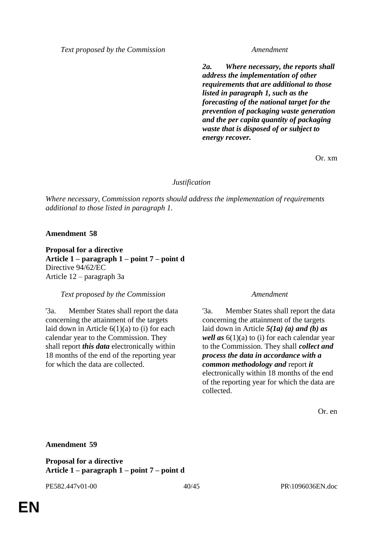*2a. Where necessary, the reports shall address the implementation of other requirements that are additional to those listed in paragraph 1, such as the forecasting of the national target for the prevention of packaging waste generation and the per capita quantity of packaging waste that is disposed of or subject to energy recover.*

Or. xm

# *Justification*

*Where necessary, Commission reports should address the implementation of requirements additional to those listed in paragraph 1.*

**Amendment 58**

**Proposal for a directive Article 1 – paragraph 1 – point 7 – point d** Directive 94/62/EC Article 12 – paragraph 3a

# *Text proposed by the Commission Amendment*

'3a. Member States shall report the data concerning the attainment of the targets laid down in Article 6(1)(a) to (i) for each calendar year to the Commission. They shall report *this data* electronically within 18 months of the end of the reporting year for which the data are collected.

'3a. Member States shall report the data concerning the attainment of the targets laid down in Article *5(1a) (a) and (b) as well as* 6(1)(a) to (i) for each calendar year to the Commission. They shall *collect and process the data in accordance with a common methodology and* report *it* electronically within 18 months of the end of the reporting year for which the data are collected.

Or. en

#### **Amendment 59**

**Proposal for a directive Article 1 – paragraph 1 – point 7 – point d**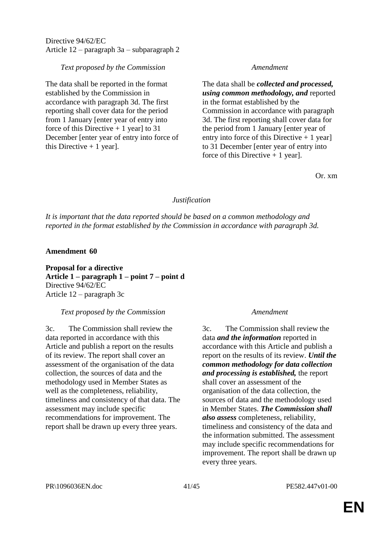Directive 94/62/EC Article 12 – paragraph 3a – subparagraph 2

#### *Text proposed by the Commission Amendment*

The data shall be reported in the format established by the Commission in accordance with paragraph 3d. The first reporting shall cover data for the period from 1 January [enter year of entry into force of this Directive  $+ 1$  year] to 31 December [enter year of entry into force of this Directive  $+ 1$  year].

The data shall be *collected and processed, using common methodology, and* reported in the format established by the Commission in accordance with paragraph 3d. The first reporting shall cover data for the period from 1 January [enter year of entry into force of this Directive + 1 year] to 31 December [enter year of entry into force of this Directive  $+1$  year].

Or. xm

#### *Justification*

*It is important that the data reported should be based on a common methodology and reported in the format established by the Commission in accordance with paragraph 3d.*

#### **Amendment 60**

**Proposal for a directive Article 1 – paragraph 1 – point 7 – point d** Directive 94/62/EC Article 12 – paragraph 3c

#### *Text proposed by the Commission Amendment*

3c. The Commission shall review the data reported in accordance with this Article and publish a report on the results of its review. The report shall cover an assessment of the organisation of the data collection, the sources of data and the methodology used in Member States as well as the completeness, reliability, timeliness and consistency of that data. The assessment may include specific recommendations for improvement. The report shall be drawn up every three years.

3c. The Commission shall review the data *and the information* reported in accordance with this Article and publish a report on the results of its review. *Until the common methodology for data collection and processing is established,* the report shall cover an assessment of the organisation of the data collection, the sources of data and the methodology used in Member States. *The Commission shall also assess* completeness, reliability, timeliness and consistency of the data and the information submitted. The assessment may include specific recommendations for improvement. The report shall be drawn up every three years.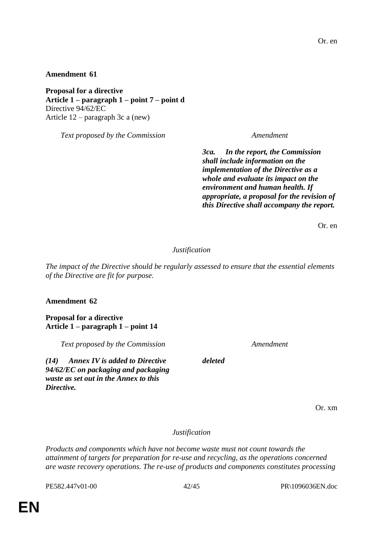**Proposal for a directive Article 1 – paragraph 1 – point 7 – point d** Directive 94/62/EC Article 12 – paragraph 3c a (new)

*Text proposed by the Commission Amendment*

*3ca. In the report, the Commission shall include information on the implementation of the Directive as a whole and evaluate its impact on the environment and human health. If appropriate, a proposal for the revision of this Directive shall accompany the report.*

Or. en

# *Justification*

*The impact of the Directive should be regularly assessed to ensure that the essential elements of the Directive are fit for purpose.*

# **Amendment 62**

**Proposal for a directive Article 1 – paragraph 1 – point 14**

*Text proposed by the Commission Amendment*

*(14) Annex IV is added to Directive 94/62/EC on packaging and packaging waste as set out in the Annex to this Directive.*

Or. xm

*Justification*

*deleted*

*Products and components which have not become waste must not count towards the attainment of targets for preparation for re-use and recycling, as the operations concerned are waste recovery operations. The re-use of products and components constitutes processing*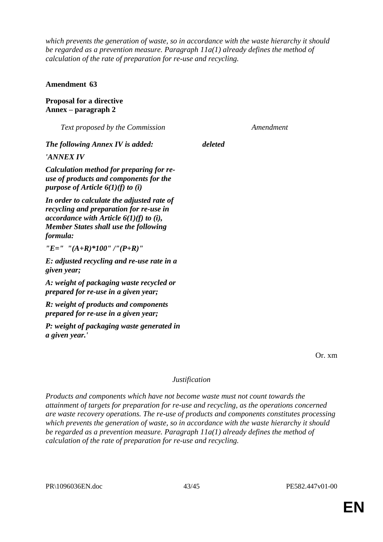*which prevents the generation of waste, so in accordance with the waste hierarchy it should be regarded as a prevention measure. Paragraph 11a(1) already defines the method of calculation of the rate of preparation for re-use and recycling.*

# **Amendment 63**

# **Proposal for a directive Annex – paragraph 2**

*Text proposed by the Commission Amendment*

*The following Annex IV is added: deleted*

*'ANNEX IV*

*Calculation method for preparing for reuse of products and components for the purpose of Article 6(1)(f) to (i)*

*In order to calculate the adjusted rate of recycling and preparation for re-use in accordance with Article 6(1)(f) to (i), Member States shall use the following formula:* 

*"E=" "(A+R)\*100" /"(P+R)"*

*E: adjusted recycling and re-use rate in a given year;*

*A: weight of packaging waste recycled or prepared for re-use in a given year;*

*R: weight of products and components prepared for re-use in a given year;*

*P: weight of packaging waste generated in a given year.'*

Or. xm

# *Justification*

*Products and components which have not become waste must not count towards the attainment of targets for preparation for re-use and recycling, as the operations concerned are waste recovery operations. The re-use of products and components constitutes processing which prevents the generation of waste, so in accordance with the waste hierarchy it should be regarded as a prevention measure. Paragraph 11a(1) already defines the method of calculation of the rate of preparation for re-use and recycling.*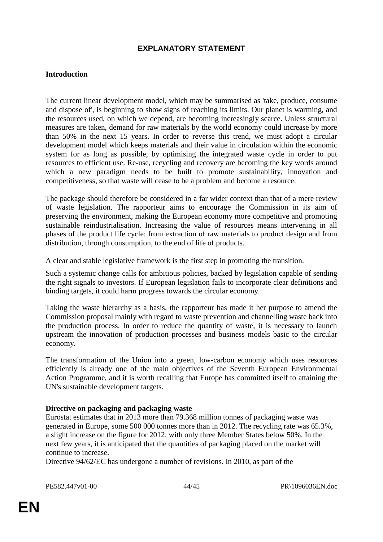# **EXPLANATORY STATEMENT**

# **Introduction**

The current linear development model, which may be summarised as 'take, produce, consume and dispose of', is beginning to show signs of reaching its limits. Our planet is warming, and the resources used, on which we depend, are becoming increasingly scarce. Unless structural measures are taken, demand for raw materials by the world economy could increase by more than 50% in the next 15 years. In order to reverse this trend, we must adopt a circular development model which keeps materials and their value in circulation within the economic system for as long as possible, by optimising the integrated waste cycle in order to put resources to efficient use. Re-use, recycling and recovery are becoming the key words around which a new paradigm needs to be built to promote sustainability, innovation and competitiveness, so that waste will cease to be a problem and become a resource.

The package should therefore be considered in a far wider context than that of a mere review of waste legislation. The rapporteur aims to encourage the Commission in its aim of preserving the environment, making the European economy more competitive and promoting sustainable reindustrialisation. Increasing the value of resources means intervening in all phases of the product life cycle: from extraction of raw materials to product design and from distribution, through consumption, to the end of life of products.

A clear and stable legislative framework is the first step in promoting the transition.

Such a systemic change calls for ambitious policies, backed by legislation capable of sending the right signals to investors. If European legislation fails to incorporate clear definitions and binding targets, it could harm progress towards the circular economy.

Taking the waste hierarchy as a basis, the rapporteur has made it her purpose to amend the Commission proposal mainly with regard to waste prevention and channelling waste back into the production process. In order to reduce the quantity of waste, it is necessary to launch upstream the innovation of production processes and business models basic to the circular economy.

The transformation of the Union into a green, low-carbon economy which uses resources efficiently is already one of the main objectives of the Seventh European Environmental Action Programme, and it is worth recalling that Europe has committed itself to attaining the UN's sustainable development targets.

# **Directive on packaging and packaging waste**

Eurostat estimates that in 2013 more than 79.368 million tonnes of packaging waste was generated in Europe, some 500 000 tonnes more than in 2012. The recycling rate was 65.3%, a slight increase on the figure for 2012, with only three Member States below 50%. In the next few years, it is anticipated that the quantities of packaging placed on the market will continue to increase.

Directive 94/62/EC has undergone a number of revisions. In 2010, as part of the